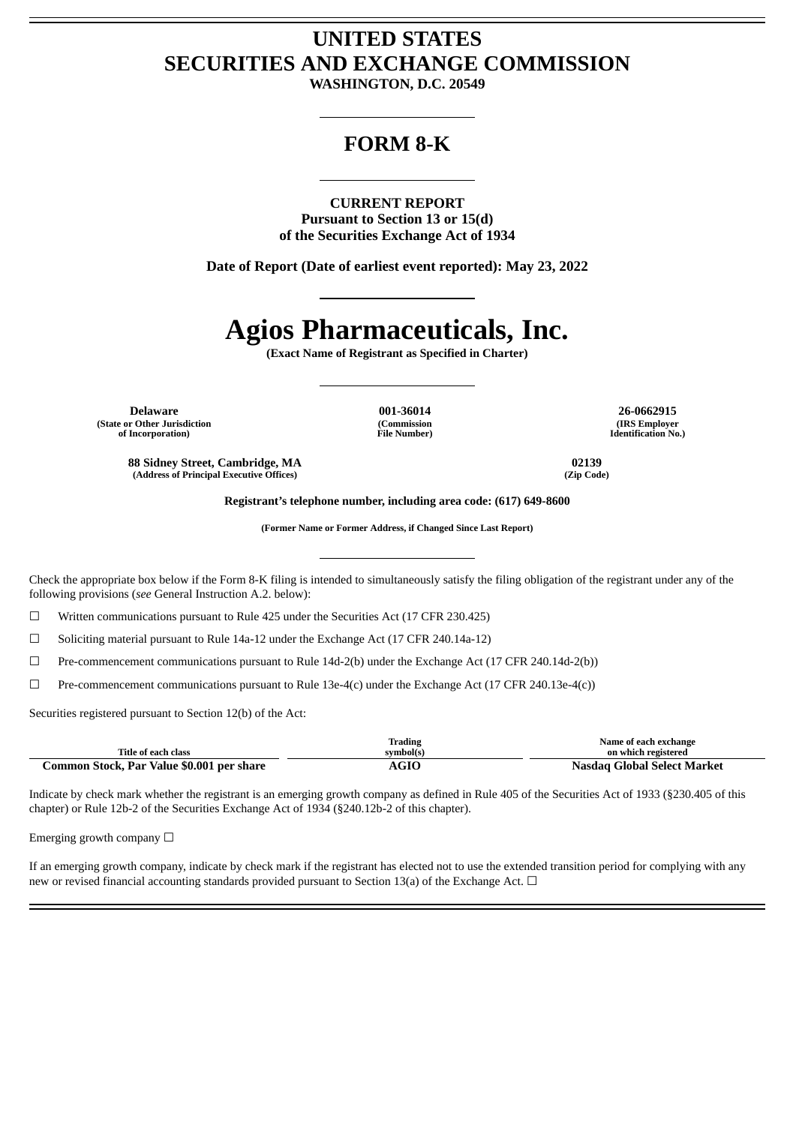## **UNITED STATES SECURITIES AND EXCHANGE COMMISSION**

**WASHINGTON, D.C. 20549**

### **FORM 8-K**

**CURRENT REPORT Pursuant to Section 13 or 15(d) of the Securities Exchange Act of 1934**

**Date of Report (Date of earliest event reported): May 23, 2022**

# **Agios Pharmaceuticals, Inc.**

**(Exact Name of Registrant as Specified in Charter)**

**Delaware 001-36014 26-0662915 (State or Other Jurisdiction of Incorporation)**

**(Address of Principal Executive Offices) (Zip Code)**

**(Commission File Number)**

**(IRS Employer Identification No.)**

**88 Sidney Street, Cambridge, MA 02139**

**Registrant's telephone number, including area code: (617) 649-8600**

**(Former Name or Former Address, if Changed Since Last Report)**

Check the appropriate box below if the Form 8-K filing is intended to simultaneously satisfy the filing obligation of the registrant under any of the following provisions (*see* General Instruction A.2. below):

☐ Written communications pursuant to Rule 425 under the Securities Act (17 CFR 230.425)

☐ Soliciting material pursuant to Rule 14a-12 under the Exchange Act (17 CFR 240.14a-12)

☐ Pre-commencement communications pursuant to Rule 14d-2(b) under the Exchange Act (17 CFR 240.14d-2(b))

☐ Pre-commencement communications pursuant to Rule 13e-4(c) under the Exchange Act (17 CFR 240.13e-4(c))

Securities registered pursuant to Section 12(b) of the Act:

| Title of each class                       | Trading<br>svmbol(s) | Name of each exchange<br>on which registered |
|-------------------------------------------|----------------------|----------------------------------------------|
| Common Stock, Par Value \$0.001 per share | AGIC                 | Nasdag Global Select Market                  |

Indicate by check mark whether the registrant is an emerging growth company as defined in Rule 405 of the Securities Act of 1933 (§230.405 of this chapter) or Rule 12b-2 of the Securities Exchange Act of 1934 (§240.12b-2 of this chapter).

Emerging growth company  $\Box$ 

If an emerging growth company, indicate by check mark if the registrant has elected not to use the extended transition period for complying with any new or revised financial accounting standards provided pursuant to Section 13(a) of the Exchange Act.  $\Box$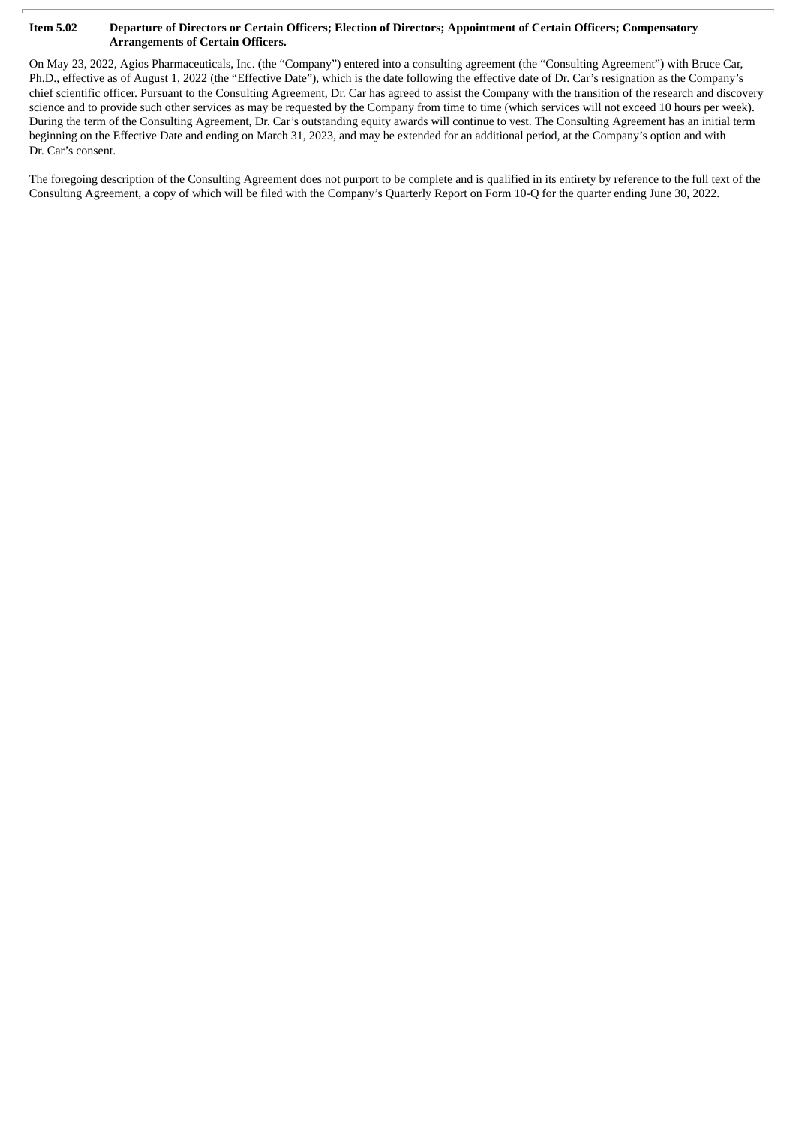#### Item 5.02 Departure of Directors or Certain Officers; Election of Directors; Appointment of Certain Officers; Compensatory **Arrangements of Certain Officers.**

On May 23, 2022, Agios Pharmaceuticals, Inc. (the "Company") entered into a consulting agreement (the "Consulting Agreement") with Bruce Car, Ph.D., effective as of August 1, 2022 (the "Effective Date"), which is the date following the effective date of Dr. Car's resignation as the Company's chief scientific officer. Pursuant to the Consulting Agreement, Dr. Car has agreed to assist the Company with the transition of the research and discovery science and to provide such other services as may be requested by the Company from time to time (which services will not exceed 10 hours per week). During the term of the Consulting Agreement, Dr. Car's outstanding equity awards will continue to vest. The Consulting Agreement has an initial term beginning on the Effective Date and ending on March 31, 2023, and may be extended for an additional period, at the Company's option and with Dr. Car's consent.

The foregoing description of the Consulting Agreement does not purport to be complete and is qualified in its entirety by reference to the full text of the Consulting Agreement, a copy of which will be filed with the Company's Quarterly Report on Form 10-Q for the quarter ending June 30, 2022.